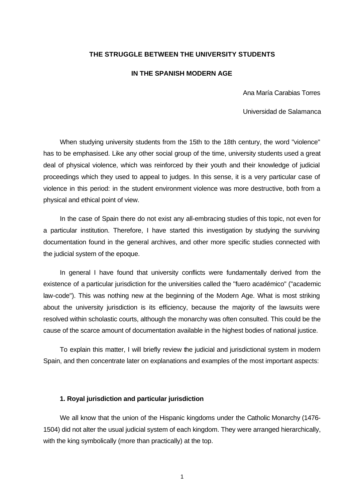## **THE STRUGGLE BETWEEN THE UNIVERSITY STUDENTS**

#### **IN THE SPANISH MODERN AGE**

Ana María Carabias Torres

Universidad de Salamanca

When studying university students from the 15th to the 18th century, the word "violence" has to be emphasised. Like any other social group of the time, university students used a great deal of physical violence, which was reinforced by their youth and their knowledge of judicial proceedings which they used to appeal to judges. In this sense, it is a very particular case of violence in this period: in the student environment violence was more destructive, both from a physical and ethical point of view.

In the case of Spain there do not exist any all-embracing studies of this topic, not even for a particular institution. Therefore, I have started this investigation by studying the surviving documentation found in the general archives, and other more specific studies connected with the judicial system of the epoque.

In general I have found that university conflicts were fundamentally derived from the existence of a particular jurisdiction for the universities called the "fuero académico" ("academic law-code"). This was nothing new at the beginning of the Modern Age. What is most striking about the university jurisdiction is its efficiency, because the majority of the lawsuits were resolved within scholastic courts, although the monarchy was often consulted. This could be the cause of the scarce amount of documentation available in the highest bodies of national justice.

To explain this matter, I will briefly review the judicial and jurisdictional system in modern Spain, and then concentrate later on explanations and examples of the most important aspects:

## **1. Royal jurisdiction and particular jurisdiction**

We all know that the union of the Hispanic kingdoms under the Catholic Monarchy (1476- 1504) did not alter the usual judicial system of each kingdom. They were arranged hierarchically, with the king symbolically (more than practically) at the top.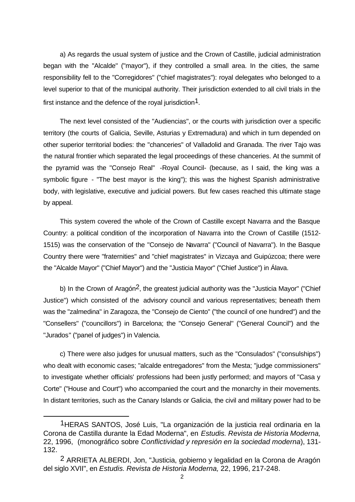a) As regards the usual system of justice and the Crown of Castille, judicial administration began with the "Alcalde" ("mayor"), if they controlled a small area. In the cities, the same responsibility fell to the "Corregidores" ("chief magistrates"): royal delegates who belonged to a level superior to that of the municipal authority. Their jurisdiction extended to all civil trials in the first instance and the defence of the royal jurisdiction<sup>1</sup>.

The next level consisted of the "Audiencias", or the courts with jurisdiction over a specific territory (the courts of Galicia, Seville, Asturias y Extremadura) and which in turn depended on other superior territorial bodies: the "chanceries" of Valladolid and Granada. The river Tajo was the natural frontier which separated the legal proceedings of these chanceries. At the summit of the pyramid was the "Consejo Real" -Royal Council- (because, as I said, the king was a symbolic figure - "The best mayor is the king"); this was the highest Spanish administrative body, with legislative, executive and judicial powers. But few cases reached this ultimate stage by appeal.

This system covered the whole of the Crown of Castille except Navarra and the Basque Country: a political condition of the incorporation of Navarra into the Crown of Castille (1512- 1515) was the conservation of the "Consejo de Navarra" ("Council of Navarra"). In the Basque Country there were "fraternities" and "chief magistrates" in Vizcaya and Guipúzcoa; there were the "Alcalde Mayor" ("Chief Mayor") and the "Justicia Mayor" ("Chief Justice") in Álava.

b) In the Crown of Aragón<sup>2</sup>, the greatest judicial authority was the "Justicia Mayor" ("Chief Justice") which consisted of the advisory council and various representatives; beneath them was the "zalmedina" in Zaragoza, the "Consejo de Ciento" ("the council of one hundred") and the "Consellers" ("councillors") in Barcelona; the "Consejo General" ("General Council") and the "Jurados" ("panel of judges") in Valencia.

c) There were also judges for unusual matters, such as the "Consulados" ("consulships") who dealt with economic cases; "alcalde entregadores" from the Mesta; "judge commissioners" to investigate whether officials' professions had been justly performed; and mayors of "Casa y Corte" ("House and Court") who accompanied the court and the monarchy in their movements. In distant territories, such as the Canary Islands or Galicia, the civil and military power had to be

<sup>1</sup>HERAS SANTOS, José Luis, "La organización de la justicia real ordinaria en la Corona de Castilla durante la Edad Moderna", en *Estudis. Revista de Historia Moderna,*  22, 1996, (monográfico sobre *Conflictividad y represión en la sociedad moderna*), 131- 132.

<sup>2</sup> ARRIETA ALBERDI, Jon, "Justicia, gobierno y legalidad en la Corona de Aragón del siglo XVII", en *Estudis. Revista de Historia Moderna,* 22, 1996, 217-248.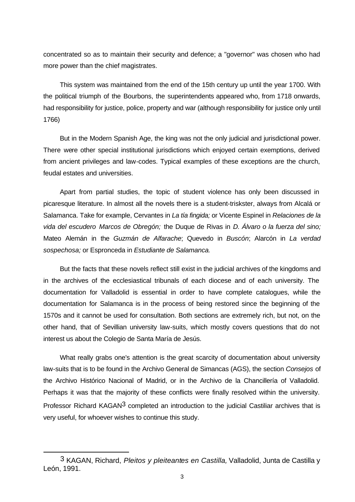concentrated so as to maintain their security and defence; a "governor" was chosen who had more power than the chief magistrates.

This system was maintained from the end of the 15th century up until the year 1700. With the political triumph of the Bourbons, the superintendents appeared who, from 1718 onwards, had responsibility for justice, police, property and war (although responsibility for justice only until 1766)

But in the Modern Spanish Age, the king was not the only judicial and jurisdictional power. There were other special institutional jurisdictions which enjoyed certain exemptions, derived from ancient privileges and law-codes. Typical examples of these exceptions are the church, feudal estates and universities.

Apart from partial studies, the topic of student violence has only been discussed in picaresque literature. In almost all the novels there is a student-triskster, always from Alcalá or Salamanca. Take for example, Cervantes in *La tía fingida;* or Vicente Espinel in *Relaciones de la vida del escudero Marcos de Obregón;* the Duque de Rivas in *D. Álvaro o la fuerza del sino;* Mateo Alemán in the *Guzmán de Alfarache*; Quevedo in *Buscón*; Alarcón in *La verdad sospechosa;* or Espronceda in *Estudiante de Salamanca.*

But the facts that these novels reflect still exist in the judicial archives of the kingdoms and in the archives of the ecclesiastical tribunals of each diocese and of each university. The documentation for Valladolid is essential in order to have complete catalogues, while the documentation for Salamanca is in the process of being restored since the beginning of the 1570s and it cannot be used for consultation. Both sections are extremely rich, but not, on the other hand, that of Sevillian university law-suits, which mostly covers questions that do not interest us about the Colegio de Santa María de Jesús.

What really grabs one's attention is the great scarcity of documentation about university law-suits that is to be found in the Archivo General de Simancas (AGS), the section *Consejos* of the Archivo Histórico Nacional of Madrid, or in the Archivo de la Chancillería of Valladolid. Perhaps it was that the majority of these conflicts were finally resolved within the university. Professor Richard KAGAN<sup>3</sup> completed an introduction to the judicial Castiliar archives that is very useful, for whoever wishes to continue this study.

<sup>3</sup> KAGAN, Richard, *Pleitos y pleiteantes en Castilla,* Valladolid, Junta de Castilla y León, 1991.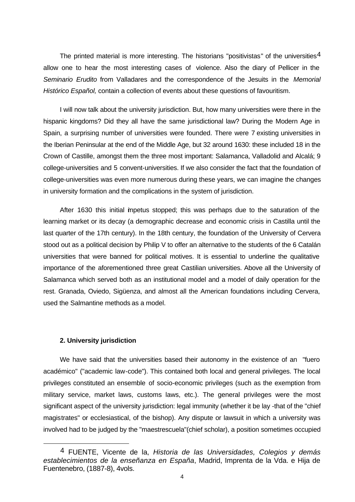The printed material is more interesting. The historians "positivistas" of the universities<sup>4</sup> allow one to hear the most interesting cases of violence. Also the diary of Pellicer in the *Seminario Erudito* from Valladares and the correspondence of the Jesuits in the *Memorial Histórico Español,* contain a collection of events about these questions of favouritism.

I will now talk about the university jurisdiction. But, how many universities were there in the hispanic kingdoms? Did they all have the same jurisdictional law? During the Modern Age in Spain, a surprising number of universities were founded. There were 7 existing universities in the Iberian Peninsular at the end of the Middle Age, but 32 around 1630: these included 18 in the Crown of Castille, amongst them the three most important: Salamanca, Valladolid and Alcalá; 9 college-universities and 5 convent-universities. If we also consider the fact that the foundation of college-universities was even more numerous during these years, we can imagine the changes in university formation and the complications in the system of jurisdiction.

After 1630 this initial impetus stopped; this was perhaps due to the saturation of the learning market or its decay (a demographic decrease and economic crisis in Castilla until the last quarter of the 17th century). In the 18th century, the foundation of the University of Cervera stood out as a political decision by Philip V to offer an alternative to the students of the 6 Catalán universities that were banned for political motives. It is essential to underline the qualitative importance of the aforementioned three great Castilian universities. Above all the University of Salamanca which served both as an institutional model and a model of daily operation for the rest. Granada, Oviedo, Sigüenza, and almost all the American foundations including Cervera, used the Salmantine methods as a model.

#### **2. University jurisdiction**

We have said that the universities based their autonomy in the existence of an "fuero académico" ("academic law-code"). This contained both local and general privileges. The local privileges constituted an ensemble of socio-economic privileges (such as the exemption from military service, market laws, customs laws, etc.). The general privileges were the most significant aspect of the university jurisdiction: legal immunity (whether it be lay -that of the "chief magistrates" or ecclesiastical, of the bishop). Any dispute or lawsuit in which a university was involved had to be judged by the "maestrescuela"(chief scholar), a position sometimes occupied

<sup>4</sup> FUENTE, Vicente de la, *Historia de las Universidades, Colegios y demás establecimientos de la enseñanza en España*, Madrid, Imprenta de la Vda. e Hija de Fuentenebro, (1887-8), 4vols.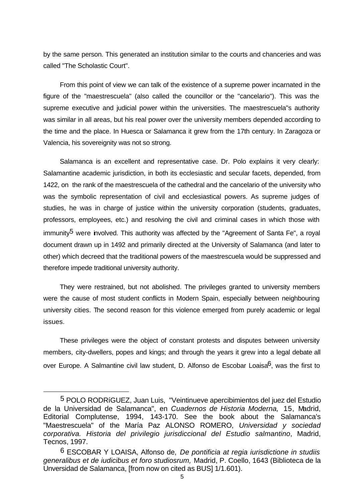by the same person. This generated an institution similar to the courts and chanceries and was called "The Scholastic Court".

From this point of view we can talk of the existence of a supreme power incarnated in the figure of the "maestrescuela" (also called the councillor or the "cancelario"). This was the supreme executive and judicial power within the universities. The maestrescuela"s authority was similar in all areas, but his real power over the university members depended according to the time and the place. In Huesca or Salamanca it grew from the 17th century. In Zaragoza or Valencia, his sovereignity was not so strong.

Salamanca is an excellent and representative case. Dr. Polo explains it very clearly: Salamantine academic jurisdiction, in both its ecclesiastic and secular facets, depended, from 1422, on the rank of the maestrescuela of the cathedral and the cancelario of the university who was the symbolic representation of civil and ecclesiastical powers. As supreme judges of studies, he was in charge of justice within the university corporation (students, graduates, professors, employees, etc.) and resolving the civil and criminal cases in which those with immunity<sup>5</sup> were involved. This authority was affected by the "Agreement of Santa Fe", a royal document drawn up in 1492 and primarily directed at the University of Salamanca (and later to other) which decreed that the traditional powers of the maestrescuela would be suppressed and therefore impede traditional university authority.

They were restrained, but not abolished. The privileges granted to university members were the cause of most student conflicts in Modern Spain, especially between neighbouring university cities. The second reason for this violence emerged from purely academic or legal issues.

These privileges were the object of constant protests and disputes between university members, city-dwellers, popes and kings; and through the years it grew into a legal debate all over Europe. A Salmantine civil law student, D. Alfonso de Escobar Loaisa<sup>6</sup>, was the first to

<sup>5</sup> POLO RODRíGUEZ, Juan Luis, "Veintinueve apercibimientos del juez del Estudio de la Universidad de Salamanca", en *Cuadernos de Historia Moderna,* 15, Madrid, Editorial Complutense, 1994, 143-170. See the book about the Salamanca's "Maestrescuela" of the María Paz ALONSO ROMERO, *Universidad y sociedad corporativa. Historia del privilegio jurisdiccional del Estudio salmantino*, Madrid, Tecnos, 1997.

<sup>6</sup> ESCOBAR Y LOAISA, Alfonso de, *De pontificia at regia iurisdictione in studiis generalibus et de iudicibus et foro studiosrum,* Madrid, P. Coello, 1643 (Biblioteca de la Unversidad de Salamanca, [from now on cited as BUS] 1/1.601).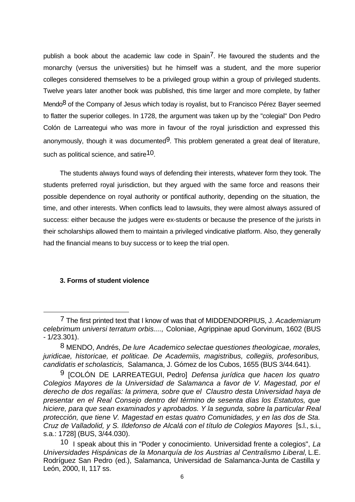publish a book about the academic law code in Spain<sup>7</sup>. He favoured the students and the monarchy (versus the universities) but he himself was a student, and the more superior colleges considered themselves to be a privileged group within a group of privileged students. Twelve years later another book was published, this time larger and more complete, by father Mendo<sup>8</sup> of the Company of Jesus which today is royalist, but to Francisco Pérez Bayer seemed to flatter the superior colleges. In 1728, the argument was taken up by the "colegial" Don Pedro Colón de Larreategui who was more in favour of the royal jurisdiction and expressed this anonymously, though it was documented $9$ . This problem generated a great deal of literature, such as political science, and satire<sup>10</sup>.

The students always found ways of defending their interests, whatever form they took. The students preferred royal jurisdiction, but they argued with the same force and reasons their possible dependence on royal authority or pontifical authority, depending on the situation, the time, and other interests. When conflicts lead to lawsuits, they were almost always assured of success: either because the judges were ex-students or because the presence of the jurists in their scholarships allowed them to maintain a privileged vindicative platform. Also, they generally had the financial means to buy success or to keep the trial open.

# **3. Forms of student violence**

<sup>7</sup> The first printed text that I know of was that of MIDDENDORPIUS, J. *Academiarum celebrimum universi terratum orbis....,* Coloniae, Agrippinae apud Gorvinum, 1602 (BUS - 1/23.301).

<sup>8</sup> MENDO, Andrés, *De lure Academico selectae questiones theologicae, morales, juridicae, historicae, et politicae. De Academiis, magistribus, collegiis, profesoribus, candidatis et scholasticis,* Salamanca, J. Gómez de los Cubos, 1655 (BUS 3/44.641).

<sup>9 [</sup>COLÓN DE LARREATEGUI, Pedro] *Defensa jurídica que hacen los quatro Colegios Mayores de la Universidad de Salamanca a favor de V. Magestad, por el derecho de dos regalías: la primera, sobre que el Claustro desta Universidad haya de presentar en el Real Consejo dentro del término de sesenta días los Estatutos, que hiciere, para que sean examinados y aprobados. Y la segunda, sobre la particular Real protección, que tiene V. Magestad en estas quatro Comunidades, y en las dos de Sta. Cruz de Valladolid, y S. Ildefonso de Alcalá con el título de Colegios Mayores* [s.l., s.i., s.a.: 1728] (BUS, 3/44.030).

<sup>10</sup> I speak about this in "Poder y conocimiento. Universidad frente a colegios", *La Universidades Hispánicas de la Monarquía de los Austrias al Centralismo Liberal,* L.E. Rodríguez San Pedro (ed.), Salamanca, Universidad de Salamanca-Junta de Castilla y León, 2000, II, 117 ss.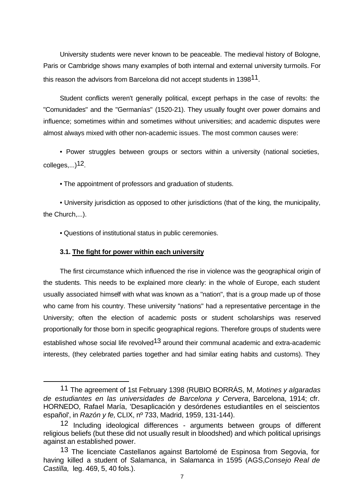University students were never known to be peaceable. The medieval history of Bologne, Paris or Cambridge shows many examples of both internal and external university turmoils. For this reason the advisors from Barcelona did not accept students in 1398<sup>11</sup>.

Student conflicts weren't generally political, except perhaps in the case of revolts: the "Comunidades" and the "Germanías" (1520-21). They usually fought over power domains and influence; sometimes within and sometimes without universities; and academic disputes were almost always mixed with other non-academic issues. The most common causes were:

• Power struggles between groups or sectors within a university (national societies, colleges,...)12.

• The appointment of professors and graduation of students.

• University jurisdiction as opposed to other jurisdictions (that of the king, the municipality, the Church,...).

• Questions of institutional status in public ceremonies.

## **3.1. The fight for power within each university**

The first circumstance which influenced the rise in violence was the geographical origin of the students. This needs to be explained more clearly: in the whole of Europe, each student usually associated himself with what was known as a "nation", that is a group made up of those who came from his country. These university "nations" had a representative percentage in the University; often the election of academic posts or student scholarships was reserved proportionally for those born in specific geographical regions. Therefore groups of students were established whose social life revolved<sup>13</sup> around their communal academic and extra-academic interests, (they celebrated parties together and had similar eating habits and customs). They

<sup>11</sup> The agreement of 1st February 1398 (RUBIO BORRÁS, M, *Motines y algaradas de estudiantes en las universidades de Barcelona y Cervera*, Barcelona, 1914; cfr. HORNEDO, Rafael María, 'Desaplicación y desórdenes estudiantiles en el seiscientos español', in *Razón y fe,* CLIX, nº 733, Madrid, 1959, 131-144).

<sup>12</sup> Including ideological differences - arguments between groups of different religious beliefs (but these did not usually result in bloodshed) and which political uprisings against an established power.

<sup>13</sup> The licenciate Castellanos against Bartolomé de Espinosa from Segovia, for having killed a student of Salamanca, in Salamanca in 1595 (AGS,*Consejo Real de Castilla,* leg. 469, 5, 40 fols.).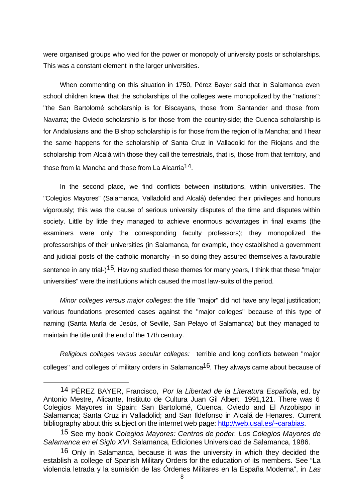were organised groups who vied for the power or monopoly of university posts or scholarships. This was a constant element in the larger universities.

When commenting on this situation in 1750, Pérez Bayer said that in Salamanca even school children knew that the scholarships of the colleges were monopolized by the "nations": "the San Bartolomé scholarship is for Biscayans, those from Santander and those from Navarra; the Oviedo scholarship is for those from the country-side; the Cuenca scholarship is for Andalusians and the Bishop scholarship is for those from the region of la Mancha; and I hear the same happens for the scholarship of Santa Cruz in Valladolid for the Riojans and the scholarship from Alcalá with those they call the terrestrials, that is, those from that territory, and those from la Mancha and those from La Alcarria<sup>14</sup>.

In the second place, we find conflicts between institutions, within universities. The "Colegios Mayores" (Salamanca, Valladolid and Alcalá) defended their privileges and honours vigorously; this was the cause of serious university disputes of the time and disputes within society. Little by little they managed to achieve enormous advantages in final exams (the examiners were only the corresponding faculty professors); they monopolized the professorships of their universities (in Salamanca, for example, they established a government and judicial posts of the catholic monarchy -in so doing they assured themselves a favourable sentence in any trial-)<sup>15</sup>. Having studied these themes for many years, I think that these "major universities" were the institutions which caused the most law-suits of the period.

*Minor colleges versus major colleges:* the title "major" did not have any legal justification; various foundations presented cases against the "major colleges" because of this type of naming (Santa María de Jesús, of Seville, San Pelayo of Salamanca) but they managed to maintain the title until the end of the 17th century.

*Religious colleges versus secular colleges:* terrible and long conflicts between "major colleges" and colleges of military orders in Salamanca16. They always came about because of

<sup>14</sup> PÉREZ BAYER, Francisco, *Por la Libertad de la Literatura Española*, ed. by Antonio Mestre, Alicante, Instituto de Cultura Juan Gil Albert, 1991,121. There was 6 Colegios Mayores in Spain: San Bartolomé, Cuenca, Oviedo and El Arzobispo in Salamanca; Santa Cruz in Valladolid; and San Ildefonso in Alcalá de Henares. Current bibliography about this subject on the internet web page: http://web.usal.es/~carabias.

<sup>15</sup> See my book *Colegios Mayores: Centros de poder. Los Colegios Mayores de Salamanca en el Siglo XVI*, Salamanca, Ediciones Universidad de Salamanca, 1986.

<sup>16</sup> Only in Salamanca, because it was the university in which they decided the establish a college of Spanish Military Orders for the education of its members. See "La violencia letrada y la sumisión de las Órdenes Militares en la España Moderna", in *Las*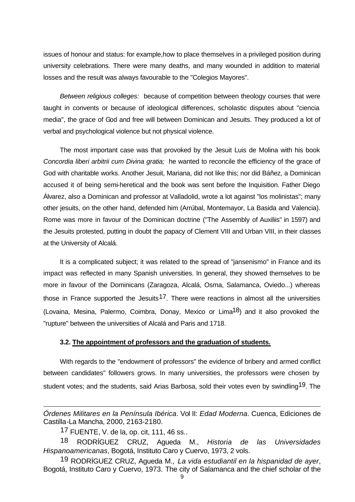issues of honour and status: for example,how to place themselves in a privileged position during university celebrations. There were many deaths, and many wounded in addition to material losses and the result was always favourable to the "Colegios Mayores".

*Between religious colleges:* because of competition between theology courses that were taught in convents or because of ideological differences, scholastic disputes about "ciencia media", the grace of God and free will between Dominican and Jesuits. They produced a lot of verbal and psychological violence but not physical violence.

The most important case was that provoked by the Jesuit Luis de Molina with his book *Concordia liberi arbitrii cum Divina gratia;* he wanted to reconcile the efficiency of the grace of God with charitable works. Another Jesuit, Mariana, did not like this; nor did Báñez, a Dominican accused it of being semi-heretical and the book was sent before the Inquisition. Father Diego Álvarez, also a Dominican and professor at Valladolid, wrote a lot against "los molinistas"; many other jesuits, on the other hand, defended him (Arrúbal, Montemayor, La Basida and Valencia). Rome was more in favour of the Dominican doctrine ("The Assembly of Auxiliis" in 1597) and the Jesuits protested, putting in doubt the papacy of Clement VIII and Urban VIII, in their classes at the University of Alcalá.

It is a complicated subject; it was related to the spread of "jansenismo" in France and its impact was reflected in many Spanish universities. In general, they showed themselves to be more in favour of the Dominicans (Zaragoza, Alcalá, Osma, Salamanca, Oviedo...) whereas those in France supported the Jesuits<sup>17</sup>. There were reactions in almost all the universities (Lovaina, Mesina, Palermo, Coimbra, Donay, Mexico or Lima<sup>18</sup>) and it also provoked the "rupture" between the universities of Alcalá and Paris and 1718.

## **3.2. The appointment of professors and the graduation of students.**

With regards to the "endowment of professors" the evidence of bribery and armed conflict between candidates" followers grows. In many universities, the professors were chosen by student votes; and the students, said Arias Barbosa, sold their votes even by swindling<sup>19</sup>. The

*Órdenes Militares en la Península Ibérica*. Vol II: *Edad Moderna*. Cuenca, Ediciones de Castilla-La Mancha, 2000, 2163-2180.

<sup>17</sup> FUENTE, V. de la, op. cit, 111, 46 ss..

<sup>18</sup> RODRÍGUEZ CRUZ, Agueda M., *Historia de las Universidades Hispanoamericanas*, Bogotá, Instituto Caro y Cuervo, 1973, 2 vols.

<sup>19</sup> RODRÍGUEZ CRUZ, Agueda M., *La vida estudiantil en la hispanidad de ayer*, Bogotá, Instituto Caro y Cuervo, 1973. The city of Salamanca and the chief scholar of the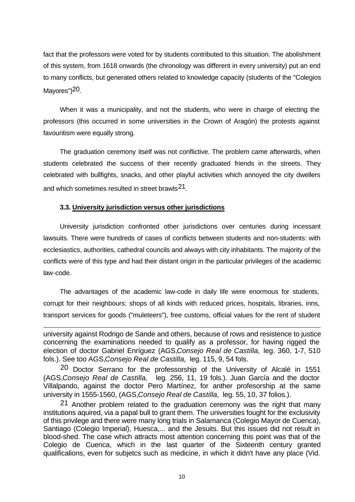fact that the professors were voted for by students contributed to this situation. The abolishment of this system, from 1618 onwards (the chronology was different in every university) put an end to many conflicts, but generated others related to knowledge capacity (students of the "Colegios Mayores")<sup>20</sup>.

When it was a municipality, and not the students, who were in charge of electing the professors (this occurred in some universities in the Crown of Aragón) the protests against favouritism were equally strong.

The graduation ceremony itself was not conflictive. The problem came afterwards, when students celebrated the success of their recently graduated friends in the streets. They celebrated with bullfights, snacks, and other playful activities which annoyed the city dwellers and which sometimes resulted in street brawls<sup>21</sup>.

# **3.3. University jurisdiction versus other jurisdictions**

University jurisdiction confronted other jurisdictions over centuries during incessant lawsuits. There were hundreds of cases of conflicts between students and non-students: with ecclesiastics, authorities, cathedral councils and always with city inhabitants. The majority of the conflicts were of this type and had their distant origin in the particular privileges of the academic law-code.

The advantages of the academic law-code in daily life were enormous for students, corrupt for their neighbours: shops of all kinds with reduced prices, hospitals, libraries, inns, transport services for goods ("muleteers"), free customs, official values for the rent of student

university against Rodrigo de Sande and others, because of rows and resistence to justice concerning the examinations needed to qualify as a professor, for having rigged the election of doctor Gabriel Enríguez (AGS,*Consejo Real de Castilla,* leg. 360, 1-7, 510 fols.). See too AGS,*Consejo Real de Castilla,* leg. 115, 9, 54 fols.

20 Doctor Serrano for the professorship of the University of Alcalé in 1551 (AGS,*Consejo Real de Castilla,* leg. 256, 11, 19 fols.). Juan García and the doctor Villalpando, against the doctor Pero Martínez, for anther profesorship at the same university in 1555-1560, (AGS,*Consejo Real de Castilla,* leg. 55, 10, 37 folios.).

21 Another problem related to the graduation ceremony was the right that many institutions aquired, via a papal bull to grant them. The universities fought for the exclusivity of this privilege and there were many long trials in Salamanca (Colegio Mayor de Cuenca), Santiago (Colegio Imperial), Huesca,... and the Jesuits. But this issues did not result in blood-shed. The case which attracts most attention concerning this point was that of the Colegio de Cuenca, which in the last quarter of the Sixteenth century granted qualificalions, even for subjetcs such as medicine, in which it didn't have any place (Vid.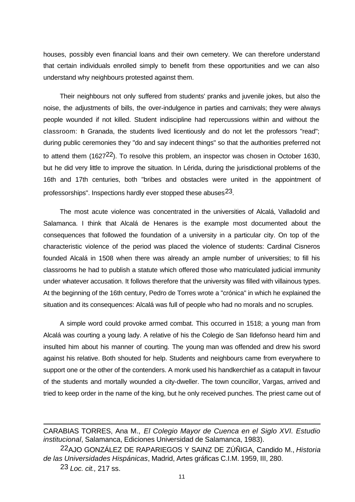houses, possibly even financial loans and their own cemetery. We can therefore understand that certain individuals enrolled simply to benefit from these opportunities and we can also understand why neighbours protested against them.

Their neighbours not only suffered from students' pranks and juvenile jokes, but also the noise, the adjustments of bills, the over-indulgence in parties and carnivals; they were always people wounded if not killed. Student indiscipline had repercussions within and without the classroom: h Granada, the students lived licentiously and do not let the professors "read"; during public ceremonies they "do and say indecent things" so that the authorities preferred not to attend them  $(1627<sup>22</sup>)$ . To resolve this problem, an inspector was chosen in October 1630, but he did very little to improve the situation. In Lérida, during the jurisdictional problems of the 16th and 17th centuries, both "bribes and obstacles were united in the appointment of professorships". Inspections hardly ever stopped these abuses23.

The most acute violence was concentrated in the universities of Alcalá, Valladolid and Salamanca. I think that Alcalá de Henares is the example most documented about the consequences that followed the foundation of a university in a particular city. On top of the characteristic violence of the period was placed the violence of students: Cardinal Cisneros founded Alcalá in 1508 when there was already an ample number of universities; to fill his classrooms he had to publish a statute which offered those who matriculated judicial immunity under whatever accusation. It follows therefore that the university was filled with villainous types. At the beginning of the 16th century, Pedro de Torres wrote a "crónica" in which he explained the situation and its consequences: Alcalá was full of people who had no morals and no scruples.

A simple word could provoke armed combat. This occurred in 1518; a young man from Alcalá was courting a young lady. A relative of his the Colegio de San Ildefonso heard him and insulted him about his manner of courting. The young man was offended and drew his sword against his relative. Both shouted for help. Students and neighbours came from everywhere to support one or the other of the contenders. A monk used his handkerchief as a catapult in favour of the students and mortally wounded a city-dweller. The town councillor, Vargas, arrived and tried to keep order in the name of the king, but he only received punches. The priest came out of

CARABIAS TORRES, Ana M., *El Colegio Mayor de Cuenca en el Siglo XVI. Estudio institucional*, Salamanca, Ediciones Universidad de Salamanca, 1983).

<sup>22</sup>AJO GONZÁLEZ DE RAPARIEGOS Y SAINZ DE ZÚÑIGA, Candido M., *Historia de las Universidades Hispánicas*, Madrid, Artes gráficas C.I.M. 1959, III, 280.

<sup>23</sup> *Loc. cit.,* 217 ss.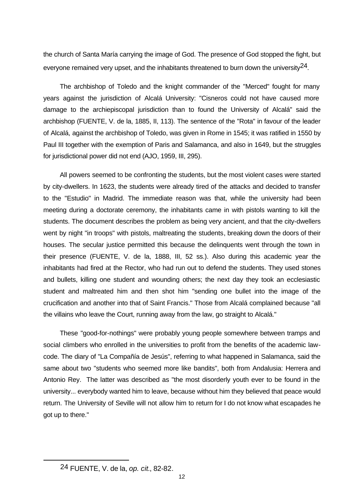the church of Santa María carrying the image of God. The presence of God stopped the fight, but everyone remained very upset, and the inhabitants threatened to burn down the university  $24$ .

The archbishop of Toledo and the knight commander of the "Merced" fought for many years against the jurisdiction of Alcalá University: "Cisneros could not have caused more damage to the archiepiscopal jurisdiction than to found the University of Alcalá" said the archbishop (FUENTE, V. de la, 1885, II, 113). The sentence of the "Rota" in favour of the leader of Alcalá, against the archbishop of Toledo, was given in Rome in 1545; it was ratified in 1550 by Paul III together with the exemption of Paris and Salamanca, and also in 1649, but the struggles for jurisdictional power did not end (AJO, 1959, III, 295).

All powers seemed to be confronting the students, but the most violent cases were started by city-dwellers. In 1623, the students were already tired of the attacks and decided to transfer to the "Estudio" in Madrid. The immediate reason was that, while the university had been meeting during a doctorate ceremony, the inhabitants came in with pistols wanting to kill the students. The document describes the problem as being very ancient, and that the city-dwellers went by night "in troops" with pistols, maltreating the students, breaking down the doors of their houses. The secular justice permitted this because the delinquents went through the town in their presence (FUENTE, V. de la, 1888, III, 52 ss.). Also during this academic year the inhabitants had fired at the Rector, who had run out to defend the students. They used stones and bullets, killing one student and wounding others; the next day they took an ecclesiastic student and maltreated him and then shot him "sending one bullet into the image of the crucification and another into that of Saint Francis." Those from Alcalá complained because "all the villains who leave the Court, running away from the law, go straight to Alcalá."

These "good-for-nothings" were probably young people somewhere between tramps and social climbers who enrolled in the universities to profit from the benefits of the academic lawcode. The diary of "La Compañía de Jesús", referring to what happened in Salamanca, said the same about two "students who seemed more like bandits", both from Andalusia: Herrera and Antonio Rey. The latter was described as "the most disorderly youth ever to be found in the university... everybody wanted him to leave, because without him they believed that peace would return. The University of Seville will not allow him to return for I do not know what escapades he got up to there."

<sup>24</sup> FUENTE, V. de la, *op. cit*., 82-82.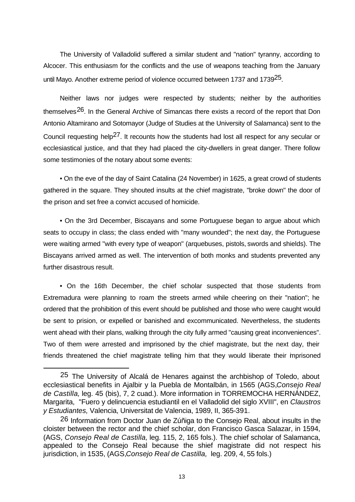The University of Valladolid suffered a similar student and "nation" tyranny, according to Alcocer. This enthusiasm for the conflicts and the use of weapons teaching from the January until Mayo. Another extreme period of violence occurred between 1737 and 1739<sup>25</sup>.

Neither laws nor judges were respected by students; neither by the authorities themselves<sup>26</sup>. In the General Archive of Simancas there exists a record of the report that Don Antonio Altamirano and Sotomayor (Judge of Studies at the University of Salamanca) sent to the Council requesting help<sup>27</sup>. It recounts how the students had lost all respect for any secular or ecclesiastical justice, and that they had placed the city-dwellers in great danger. There follow some testimonies of the notary about some events:

• On the eve of the day of Saint Catalina (24 November) in 1625, a great crowd of students gathered in the square. They shouted insults at the chief magistrate, "broke down" the door of the prison and set free a convict accused of homicide.

• On the 3rd December, Biscayans and some Portuguese began to argue about which seats to occupy in class; the class ended with "many wounded"; the next day, the Portuguese were waiting armed "with every type of weapon" (arquebuses, pistols, swords and shields). The Biscayans arrived armed as well. The intervention of both monks and students prevented any further disastrous result.

• On the 16th December, the chief scholar suspected that those students from Extremadura were planning to roam the streets armed while cheering on their "nation"; he ordered that the prohibition of this event should be published and those who were caught would be sent to prision, or expelled or banished and excommunicated. Nevertheless, the students went ahead with their plans, walking through the city fully armed "causing great inconveniences". Two of them were arrested and imprisoned by the chief magistrate, but the next day, their friends threatened the chief magistrate telling him that they would liberate their imprisoned

<sup>25</sup> The University of Alcalá de Henares against the archbishop of Toledo, about ecclesiastical benefits in Ajalbir y la Puebla de Montalbán, in 1565 (AGS,*Consejo Real de Castilla,* leg. 45 (bis), 7, 2 cuad.). More information in TORREMOCHA HERNÁNDEZ, Margarita, "Fuero y delincuencia estudiantil en el Valladolid del siglo XVIII", en *Claustros y Estudiantes,* Valencia, Universitat de Valencia, 1989, II, 365-391.

<sup>26</sup> Information from Doctor Juan de Zúñiga to the Consejo Real, about insults in the cloister between the rector and the chief scholar, don Francisco Gasca Salazar, in 1594, (AGS, *Consejo Real de Castilla,* leg. 115, 2, 165 fols.). The chief scholar of Salamanca, appealed to the Consejo Real because the shief magistrate did not respect his jurisdiction, in 1535, (AGS,*Consejo Real de Castilla,* leg. 209, 4, 55 fols.)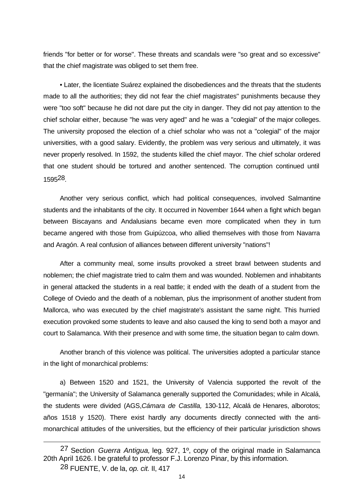friends "for better or for worse". These threats and scandals were "so great and so excessive" that the chief magistrate was obliged to set them free.

• Later, the licentiate Suárez explained the disobediences and the threats that the students made to all the authorities; they did not fear the chief magistrates" punishments because they were "too soft" because he did not dare put the city in danger. They did not pay attention to the chief scholar either, because "he was very aged" and he was a "colegial" of the major colleges. The university proposed the election of a chief scholar who was not a "colegial" of the major universities, with a good salary. Evidently, the problem was very serious and ultimately, it was never properly resolved. In 1592, the students killed the chief mayor. The chief scholar ordered that one student should be tortured and another sentenced. The corruption continued until 159528.

Another very serious conflict, which had political consequences, involved Salmantine students and the inhabitants of the city. It occurred in November 1644 when a fight which began between Biscayans and Andalusians became even more complicated when they in turn became angered with those from Guipúzcoa, who allied themselves with those from Navarra and Aragón. A real confusion of alliances between different university "nations"!

After a community meal, some insults provoked a street brawl between students and noblemen; the chief magistrate tried to calm them and was wounded. Noblemen and inhabitants in general attacked the students in a real battle; it ended with the death of a student from the College of Oviedo and the death of a nobleman, plus the imprisonment of another student from Mallorca, who was executed by the chief magistrate's assistant the same night. This hurried execution provoked some students to leave and also caused the king to send both a mayor and court to Salamanca. With their presence and with some time, the situation began to calm down.

Another branch of this violence was political. The universities adopted a particular stance in the light of monarchical problems:

a) Between 1520 and 1521, the University of Valencia supported the revolt of the "germanía"; the University of Salamanca generally supported the Comunidades; while in Alcalá, the students were divided (AGS,*Cámara de Castilla,* 130-112, Alcalá de Henares, alborotos; años 1518 y 1520). There exist hardly any documents directly connected with the antimonarchical attitudes of the universities, but the efficiency of their particular jurisdiction shows

<sup>27</sup> Section *Guerra Antigua,* leg. 927, 1º, copy of the original made in Salamanca 20th April 1626. I be grateful to professor F.J. Lorenzo Pinar, by this information.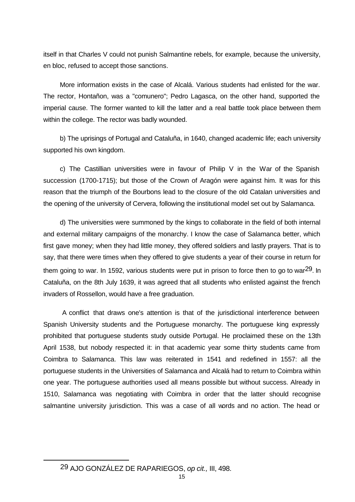itself in that Charles V could not punish Salmantine rebels, for example, because the university, en bloc, refused to accept those sanctions.

More information exists in the case of Alcalá. Various students had enlisted for the war. The rector, Hontañon, was a "comunero"; Pedro Lagasca, on the other hand, supported the imperial cause. The former wanted to kill the latter and a real battle took place between them within the college. The rector was badly wounded.

b) The uprisings of Portugal and Cataluña, in 1640, changed academic life; each university supported his own kingdom.

c) The Castillian universities were in favour of Philip V in the War of the Spanish succession (1700-1715); but those of the Crown of Aragón were against him. It was for this reason that the triumph of the Bourbons lead to the closure of the old Catalan universities and the opening of the university of Cervera, following the institutional model set out by Salamanca.

d) The universities were summoned by the kings to collaborate in the field of both internal and external military campaigns of the monarchy. I know the case of Salamanca better, which first gave money; when they had little money, they offered soldiers and lastly prayers. That is to say, that there were times when they offered to give students a year of their course in return for them going to war. In 1592, various students were put in prison to force then to go to war<sup>29</sup>. In Cataluña, on the 8th July 1639, it was agreed that all students who enlisted against the french invaders of Rossellon, would have a free graduation.

 A conflict that draws one's attention is that of the jurisdictional interference between Spanish University students and the Portuguese monarchy. The portuguese king expressly prohibited that portuguese students study outside Portugal. He proclaimed these on the 13th April 1538, but nobody respected it: in that academic year some thirty students came from Coimbra to Salamanca. This law was reiterated in 1541 and redefined in 1557: all the portuguese students in the Universities of Salamanca and Alcalá had to return to Coimbra within one year. The portuguese authorities used all means possible but without success. Already in 1510, Salamanca was negotiating with Coimbra in order that the latter should recognise salmantine university jurisdiction. This was a case of all words and no action. The head or

29 AJO GONZÁLEZ DE RAPARIEGOS, *op cit.,* III, 498.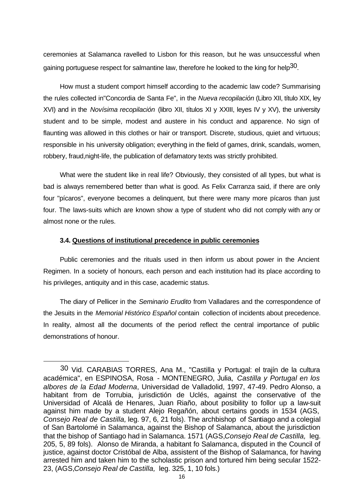ceremonies at Salamanca ravelled to Lisbon for this reason, but he was unsuccessful when gaining portuguese respect for salmantine law, therefore he looked to the king for help<sup>30</sup>.

How must a student comport himself according to the academic law code? Summarising the rules collected in"Concordia de Santa Fe", in the *Nueva recopilación* (Libro XII, título XIX, ley XVI) and in the *Novísima recopilación* (libro XII, títulos XI y XXIII, leyes IV y XV), the university student and to be simple, modest and austere in his conduct and apparence. No sign of flaunting was allowed in this clothes or hair or transport. Discrete, studious, quiet and virtuous; responsible in his university obligation; everything in the field of games, drink, scandals, women, robbery, fraud,night-life, the publication of defamatory texts was strictly prohibited.

What were the student like in real life? Obviously, they consisted of all types, but what is bad is always remembered better than what is good. As Felix Carranza said, if there are only four "pícaros", everyone becomes a delinquent, but there were many more pícaros than just four. The laws-suits which are known show a type of student who did not comply with any or almost none or the rules.

#### **3.4. Questions of institutional precedence in public ceremonies**

Public ceremonies and the rituals used in then inform us about power in the Ancient Regimen. In a society of honours, each person and each institution had its place according to his privileges, antiquity and in this case, academic status.

The diary of Pellicer in the *Seminario Erudito* from Valladares and the correspondence of the Jesuits in the *Memorial Histórico Español* contain collection of incidents about precedence. In reality, almost all the documents of the period reflect the central importance of public demonstrations of honour.

<sup>30</sup> Vid. CARABIAS TORRES, Ana M., "Castilla y Portugal: el trajín de la cultura académica", en ESPINOSA, Rosa - MONTENEGRO, Julia, *Castilla y Portugal en los albores de la Edad Moderna*, Universidad de Valladolid, 1997, 47-49. Pedro Alonso, a habitant from de Torrubia, jurisdictión de Uclés, against the conservative of the Universidad of Alcalá de Henares, Juan Riaño, about posibility to follor up a law-suit against him made by a student Alejo Regañón, about certains goods in 1534 (AGS, *Consejo Real de Castilla,* leg. 97, 6, 21 fols). The archbishop of Santiago and a colegial of San Bartolomé in Salamanca, against the Bishop of Salamanca, about the jurisdiction that the bishop of Santiago had in Salamanca. 1571 (AGS,*Consejo Real de Castilla,* leg. 205, 5, 89 fols). Alonso de Miranda, a habitant fo Salamanca, disputed in the Council of justice, against doctor Cristóbal de Alba, assistent of the Bishop of Salamanca, for having arrested him and taken him to the scholastic prison and tortured him being secular 1522- 23, (AGS,*Consejo Real de Castilla,* leg. 325, 1, 10 fols.)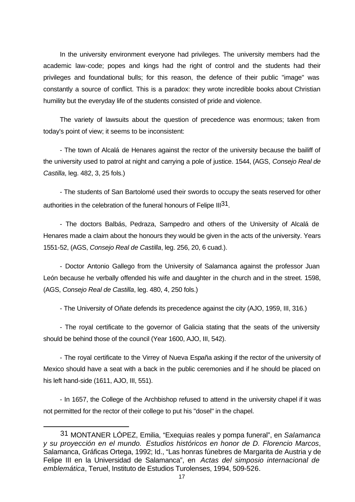In the university environment everyone had privileges. The university members had the academic law-code; popes and kings had the right of control and the students had their privileges and foundational bulls; for this reason, the defence of their public "image" was constantly a source of conflict. This is a paradox: they wrote incredible books about Christian humility but the everyday life of the students consisted of pride and violence.

The variety of lawsuits about the question of precedence was enormous; taken from today's point of view; it seems to be inconsistent:

- The town of Alcalá de Henares against the rector of the university because the bailiff of the university used to patrol at night and carrying a pole of justice. 1544, (AGS*, Consejo Real de Castilla*, leg. 482, 3, 25 fols.)

- The students of San Bartolomé used their swords to occupy the seats reserved for other authorities in the celebration of the funeral honours of Felipe III<sup>31</sup>.

- The doctors Balbás, Pedraza, Sampedro and others of the University of Alcalá de Henares made a claim about the honours they would be given in the acts of the university. Years 1551-52, (AGS, *Consejo Real de Castilla*, leg. 256, 20, 6 cuad.).

- Doctor Antonio Gallego from the University of Salamanca against the professor Juan León because he verbally offended his wife and daughter in the church and in the street. 1598, (AGS, *Consejo Real de Castilla*, leg. 480, 4, 250 fols.)

- The University of Oñate defends its precedence against the city (AJO, 1959, III, 316.)

- The royal certificate to the governor of Galicia stating that the seats of the university should be behind those of the council (Year 1600, AJO, III, 542).

- The royal certificate to the Virrey of Nueva España asking if the rector of the university of Mexico should have a seat with a back in the public ceremonies and if he should be placed on his left hand-side (1611, AJO, III, 551).

- In 1657, the College of the Archbishop refused to attend in the university chapel if it was not permitted for the rector of their college to put his "dosel" in the chapel.

<sup>31</sup> MONTANER LÓPEZ, Emilia, "Exequias reales y pompa funeral", en *Salamanca y su proyección en el mundo. Estudios históricos en honor de D. Florencio Marcos*, Salamanca, Gráficas Ortega, 1992; Id., "Las honras fúnebres de Margarita de Austria y de Felipe III en la Universidad de Salamanca", en *Actas del simposio internacional de emblemática*, Teruel, Instituto de Estudios Turolenses, 1994, 509-526.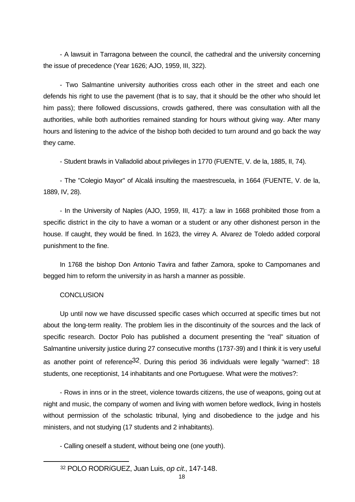- A lawsuit in Tarragona between the council, the cathedral and the university concerning the issue of precedence (Year 1626; AJO, 1959, III, 322).

- Two Salmantine university authorities cross each other in the street and each one defends his right to use the pavement (that is to say, that it should be the other who should let him pass); there followed discussions, crowds gathered, there was consultation with all the authorities, while both authorities remained standing for hours without giving way. After many hours and listening to the advice of the bishop both decided to turn around and go back the way they came.

- Student brawls in Valladolid about privileges in 1770 (FUENTE, V. de la, 1885, II, 74).

- The "Colegio Mayor" of Alcalá insulting the maestrescuela, in 1664 (FUENTE, V. de la, 1889, IV, 28).

- In the University of Naples (AJO, 1959, III, 417): a law in 1668 prohibited those from a specific district in the city to have a woman or a student or any other dishonest person in the house. If caught, they would be fined. In 1623, the virrey A. Alvarez de Toledo added corporal punishment to the fine.

In 1768 the bishop Don Antonio Tavira and father Zamora, spoke to Campomanes and begged him to reform the university in as harsh a manner as possible.

# **CONCLUSION**

Up until now we have discussed specific cases which occurred at specific times but not about the long-term reality. The problem lies in the discontinuity of the sources and the lack of specific research. Doctor Polo has published a document presenting the "real" situation of Salmantine university justice during 27 consecutive months (1737-39) and I think it is very useful as another point of reference<sup>32</sup>. During this period 36 individuals were legally "warned": 18 students, one receptionist, 14 inhabitants and one Portuguese. What were the motives?:

- Rows in inns or in the street, violence towards citizens, the use of weapons, going out at night and music, the company of women and living with women before wedlock, living in hostels without permission of the scholastic tribunal, lying and disobedience to the judge and his ministers, and not studying (17 students and 2 inhabitants).

- Calling oneself a student, without being one (one youth).

<sup>32</sup> POLO RODRíGUEZ, Juan Luis, *op cit*., 147-148.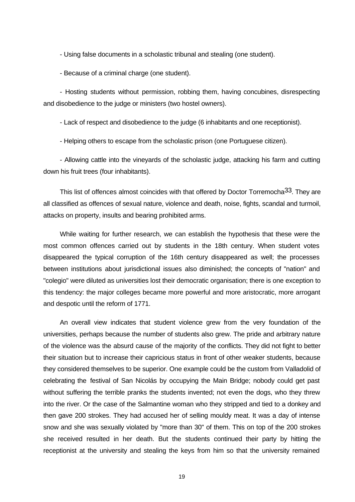- Using false documents in a scholastic tribunal and stealing (one student).

- Because of a criminal charge (one student).

- Hosting students without permission, robbing them, having concubines, disrespecting and disobedience to the judge or ministers (two hostel owners).

- Lack of respect and disobedience to the judge (6 inhabitants and one receptionist).

- Helping others to escape from the scholastic prison (one Portuguese citizen).

- Allowing cattle into the vineyards of the scholastic judge, attacking his farm and cutting down his fruit trees (four inhabitants).

This list of offences almost coincides with that offered by Doctor Torremocha<sup>33</sup>. They are all classified as offences of sexual nature, violence and death, noise, fights, scandal and turmoil, attacks on property, insults and bearing prohibited arms.

While waiting for further research, we can establish the hypothesis that these were the most common offences carried out by students in the 18th century. When student votes disappeared the typical corruption of the 16th century disappeared as well; the processes between institutions about jurisdictional issues also diminished; the concepts of "nation" and "colegio" were diluted as universities lost their democratic organisation; there is one exception to this tendency: the major colleges became more powerful and more aristocratic, more arrogant and despotic until the reform of 1771.

An overall view indicates that student violence grew from the very foundation of the universities, perhaps because the number of students also grew. The pride and arbitrary nature of the violence was the absurd cause of the majority of the conflicts. They did not fight to better their situation but to increase their capricious status in front of other weaker students, because they considered themselves to be superior. One example could be the custom from Valladolid of celebrating the festival of San Nicolás by occupying the Main Bridge; nobody could get past without suffering the terrible pranks the students invented; not even the dogs, who they threw into the river. Or the case of the Salmantine woman who they stripped and tied to a donkey and then gave 200 strokes. They had accused her of selling mouldy meat. It was a day of intense snow and she was sexually violated by "more than 30" of them. This on top of the 200 strokes she received resulted in her death. But the students continued their party by hitting the receptionist at the university and stealing the keys from him so that the university remained